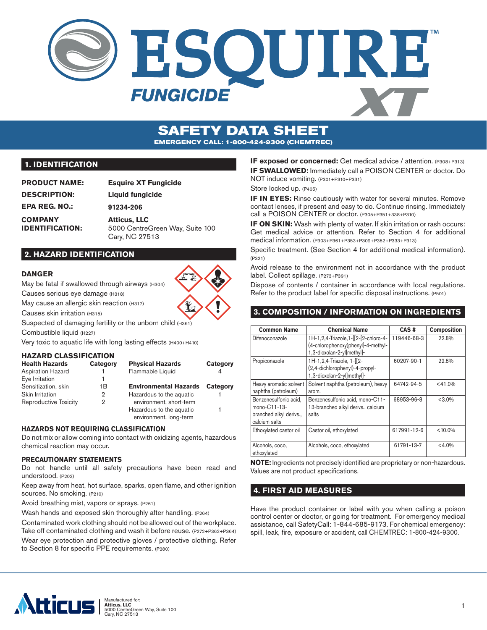

# **SAFETY DATA SHEET EMERGENCY CALL: 1-800-424-9300 (CHEMTREC)**

## **1. IDENTIFICATION**

| <b>PRODUCT NAME:</b>   | <b>Esquire XT Fungicide</b>     |
|------------------------|---------------------------------|
| <b>DESCRIPTION:</b>    | Liquid fungicide                |
| <b>EPA REG. NO.:</b>   | 91234-206                       |
| <b>COMPANY</b>         | <b>Atticus, LLC</b>             |
| <b>IDENTIFICATION:</b> | 5000 CentreGreen Way, Suite 100 |
|                        | Cary, NC 27513                  |

## **2. HAZARD IDENTIFICATION**

#### **DANGER**

May be fatal if swallowed through airways (H304)

Causes serious eye damage (H318)

May cause an allergic skin reaction (H317)

Causes skin irritation (H315)

Suspected of damaging fertility or the unborn child (H361)

Combustible liquid (H227)

Very toxic to aquatic life with long lasting effects (H400+H410)

#### **HAZARD CLASSIFICATION**

| <b>Health Hazards</b>    | Category | <b>Physical Hazards</b>      | Category |
|--------------------------|----------|------------------------------|----------|
| <b>Aspiration Hazard</b> |          | Flammable Liquid             |          |
| Eye Irritation           |          |                              |          |
| Sensitization, skin      | 1Β       | <b>Environmental Hazards</b> | Category |
| Skin Irritation          | 2        | Hazardous to the aquatic     |          |
| Reproductive Toxicity    | 2        | environment, short-term      |          |
|                          |          | Hazardous to the aquatic     |          |
|                          |          | environment, long-term       |          |

#### **HAZARDS NOT REQUIRING CLASSIFICATION**

Do not mix or allow coming into contact with oxidizing agents, hazardous chemical reaction may occur.

#### **PRECAUTIONARY STATEMENTS**

Do not handle until all safety precautions have been read and understood. (P202)

Keep away from heat, hot surface, sparks, open flame, and other ignition sources. No smoking. (P210)

Avoid breathing mist, vapors or sprays. (P261)

Wash hands and exposed skin thoroughly after handling. (P264)

Contaminated work clothing should not be allowed out of the workplace. Take off contaminated clothing and wash it before reuse. (P272+P362+P364)

Wear eye protection and protective gloves / protective clothing. Refer to Section 8 for specific PPE requirements. (P280)

**IF exposed or concerned:** Get medical advice / attention. (P308+P313) **IF SWALLOWED:** Immediately call a POISON CENTER or doctor. Do NOT induce vomiting. (P301+P310+P331)

Store locked up. (P405)

**IF IN EYES:** Rinse cautiously with water for several minutes. Remove contact lenses, if present and easy to do. Continue rinsing. Immediately call a POISON CENTER or doctor. (P305+P351+338+P310)

**IF ON SKIN:** Wash with plenty of water. If skin irritation or rash occurs: Get medical advice or attention. Refer to Section 4 for additional medical information. (P303+P361+P353+P302+P352+P333+P313)

Specific treatment. (See Section 4 for additional medical information). (P321)

Avoid release to the environment not in accordance with the product label. Collect spillage. (P273+P391)

Dispose of contents / container in accordance with local regulations. Refer to the product label for specific disposal instructions. (P501)

## **3. COMPOSITION / INFORMATION ON INGREDIENTS**

| <b>Common Name</b>                                                                | <b>Chemical Name</b>                                                                                     | CAS#        | <b>Composition</b> |  |
|-----------------------------------------------------------------------------------|----------------------------------------------------------------------------------------------------------|-------------|--------------------|--|
| Difenoconazole                                                                    | 1H-1,2,4-Triazole,1-[[2-[2-chloro-4-<br>(4-chlorophenoxy)phenyl]-4-methyl-<br>1,3-dioxolan-2-yl]methyl]- | 119446-68-3 | 22.8%              |  |
| Propiconazole                                                                     | 1H-1,2,4-Triazole, 1-[[2-<br>(2,4-dichlorophenyl)-4-propyl-<br>1,3-dioxolan-2-yl]methyl]-                | 60207-90-1  | 22.8%              |  |
| Heavy aromatic solvent<br>naphtha (petroleum)                                     | Solvent naphtha (petroleum), heavy<br>arom.                                                              | 64742-94-5  | < 41.0%            |  |
| Benzenesulfonic acid.<br>mono-C11-13-<br>branched alkyl derivs.,<br>calcium salts | Benzenesulfonic acid, mono-C11-<br>13-branched alkyl derivs., calcium<br>salts                           | 68953-96-8  | $< 3.0\%$          |  |
| Ethoxylated castor oil                                                            | Castor oil, ethoxylated                                                                                  | 617991-12-6 | $< 10.0\%$         |  |
| Alcohols, coco,<br>ethoxylated                                                    | Alcohols, coco, ethoxylated                                                                              | 61791-13-7  | $< 4.0\%$          |  |

**NOTE:** Ingredients not precisely identified are proprietary or non-hazardous. Values are not product specifications.

## **4. FIRST AID MEASURES**

Have the product container or label with you when calling a poison control center or doctor, or going for treatment. For emergency medical assistance, call SafetyCall: 1-844-685-9173. For chemical emergency: spill, leak, fire, exposure or accident, call CHEMTREC: 1-800-424-9300.

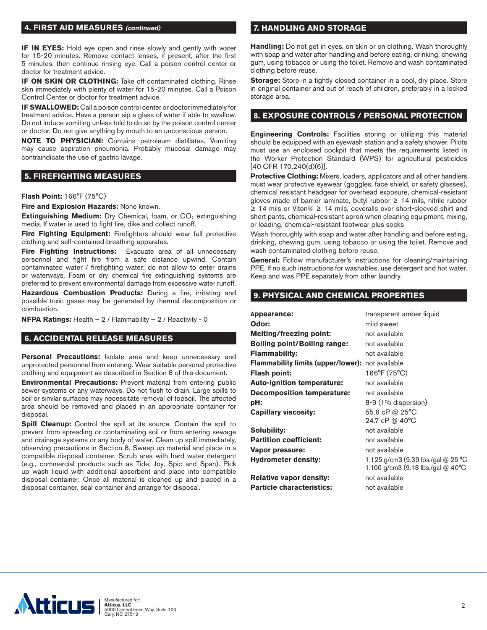## **4. FIRST AID MEASURES (continued)**

**IF IN EYES:** Hold eye open and rinse slowly and gently with water for 15-20 minutes. Remove contact lenses, if present, after the first 5 minutes, then continue rinsing eye. Call a poison control center or doctor for treatment advice.

**IF ON SKIN OR CLOTHING:** Take off contaminated clothing. Rinse skin immediately with plenty of water for 15-20 minutes. Call a Poison Control Center or doctor for treatment advice.

**IF SWALLOWED:** Call a poison control center or doctor immediately for treatment advice. Have a person sip a glass of water if able to swallow. Do not induce vomiting unless told to do so by the poison control center or doctor. Do not give anything by mouth to an unconscious person.

**NOTE TO PHYSICIAN:** Contains petroleum distillates. Vomiting may cause aspiration pneumonia. Probably mucosal damage may contraindicate the use of gastric lavage.

#### **5. FIREFIGHTING MEASURES**

#### **Flash Point:** 166°F (75°C)

**Fire and Explosion Hazards:** None known.

**Extinguishing Medium:** Dry Chemical, foam, or CO<sub>2</sub> extinguishing media. If water is used to fight fire, dike and collect runoff.

**Fire Fighting Equipment:** Firefighters should wear full protective clothing and self-contained breathing apparatus.

**Fire Fighting Instructions:** Evacuate area of all unnecessary personnel and fight fire from a safe distance upwind. Contain contaminated water / firefighting water; do not allow to enter drains or waterways. Foam or dry chemical fire extinguishing systems are preferred to prevent environmental damage from excessive water runoff.

**Hazardous Combustion Products:** During a fire, irritating and possible toxic gases may be generated by thermal decomposition or combustion.

**NFPA Ratings:** Health – 2 / Flammability – 2 / Reactivity - 0

## **6. ACCIDENTAL RELEASE MEASURES**

**Personal Precautions:** Isolate area and keep unnecessary and unprotected personnel from entering. Wear suitable personal protective clothing and equipment as described in Section 8 of this document.

**Environmental Precautions:** Prevent material from entering public sewer systems or any waterways. Do not flush to drain. Large spills to soil or similar surfaces may necessitate removal of topsoil. The affected area should be removed and placed in an appropriate container for disposal.

**Spill Cleanup:** Control the spill at its source. Contain the spill to prevent from spreading or contaminating soil or from entering sewage and drainage systems or any body of water. Clean up spill immediately, observing precautions in Section 8. Sweep up material and place in a compatible disposal container. Scrub area with hard water detergent (e.g., commercial products such as Tide, Joy, Spic and Span). Pick up wash liquid with additional absorbent and place into compatible disposal container. Once all material is cleaned up and placed in a disposal container, seal container and arrange for disposal.

## **7. HANDLING AND STORAGE**

**Handling:** Do not get in eyes, on skin or on clothing. Wash thoroughly with soap and water after handling and before eating, drinking, chewing gum, using tobacco or using the toilet. Remove and wash contaminated clothing before reuse.

**Storage:** Store in a tightly closed container in a cool, dry place. Store in original container and out of reach of children, preferably in a locked storage area.

## **8. EXPOSURE CONTROLS / PERSONAL PROTECTION**

**Engineering Controls:** Facilities storing or utilizing this material should be equipped with an eyewash station and a safety shower. Pilots must use an enclosed cockpit that meets the requirements listed in the Worker Protection Standard (WPS) for agricultural pesticides [40 CFR 170.240(d)(6)].

**Protective Clothing:** Mixers, loaders, applicators and all other handlers must wear protective eyewear (goggles, face shield, or safety glasses), chemical resistant headgear for overhead exposure, chemical-resistant gloves made of barrier laminate, butyl rubber ≥ 14 mils, nitrile rubber ≥ 14 mils or Viton® ≥ 14 mils, coveralls over short-sleeved shirt and short pants, chemical-resistant apron when cleaning equipment, mixing, or loading, chemical-resistant footwear plus socks

Wash thoroughly with soap and water after handling and before eating, drinking, chewing gum, using tobacco or using the toilet. Remove and wash contaminated clothing before reuse.

**General:** Follow manufacturer's instructions for cleaning/maintaining PPE. If no such instructions for washables, use detergent and hot water. Keep and was PPE separately from other laundry.

## **9. PHYSICAL AND CHEMICAL PROPERTIES**

| Appearance:                                             | transparent amber liquid           |
|---------------------------------------------------------|------------------------------------|
| Odor:                                                   | mild sweet                         |
| <b>Melting/freezing point:</b>                          | not available                      |
| <b>Boiling point/Boiling range:</b>                     | not available                      |
| Flammability:                                           | not available                      |
| <b>Flammability limits (upper/lower):</b> not available |                                    |
| Flash point:                                            | 166°F (75°C)                       |
| <b>Auto-ignition temperature:</b>                       | not available                      |
| <b>Decomposition temperature:</b>                       | not available                      |
| pH:                                                     | 8-9 (1% dispersion)                |
| <b>Capillary viscosity:</b>                             | 55.6 cP @ 25°C                     |
|                                                         | 24.7 cP @ 40°C                     |
| Solubility:                                             | not available                      |
| <b>Partition coefficient:</b>                           | not available                      |
| Vapor pressure:                                         | not available                      |
| <b>Hydrometer density:</b>                              | 1.125 g/cm3 (9.39 lbs./gal @ 25 °C |
|                                                         | 1.100 g/cm3 (9.18 lbs./gal @ 40°C  |
| <b>Relative vapor density:</b>                          | not available                      |
| <b>Particle characteristics:</b>                        | not available                      |

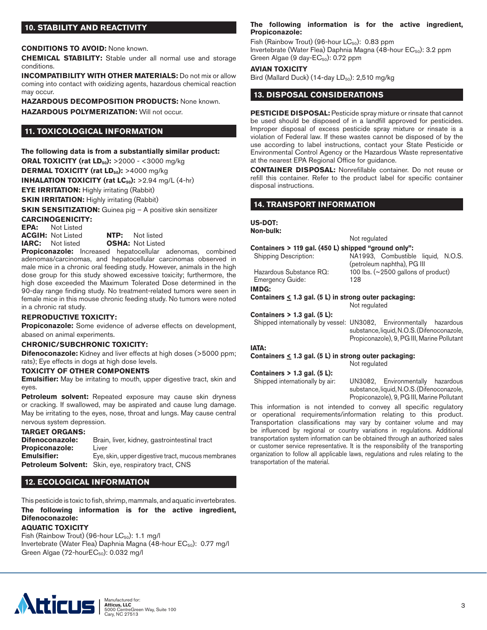## **10. STABILITY AND REACTIVITY**

**CONDITIONS TO AVOID:** None known.

**CHEMICAL STABILITY:** Stable under all normal use and storage conditions.

**INCOMPATIBILITY WITH OTHER MATERIALS:** Do not mix or allow coming into contact with oxidizing agents, hazardous chemical reaction may occur.

**HAZARDOUS DECOMPOSITION PRODUCTS:** None known.

**HAZARDOUS POLYMERIZATION:** Will not occur.

## **11. TOXICOLOGICAL INFORMATION**

**The following data is from a substantially similar product: ORAL TOXICITY (rat LD<sub>50</sub>):** >2000 - <3000 mg/kg **DERMAL TOXICITY (rat LD<sub>50</sub>):** >4000 mg/kg **INHALATION TOXICITY (rat LC<sub>50</sub>):** >2.94 mg/L (4-hr) **EYE IRRITATION:** Highly irritating (Rabbit) **SKIN IRRITATION:** Highly irritating (Rabbit)

**SKIN SENSITIZATION:** Guinea pig – A positive skin sensitizer

# **CARCINOGENICITY:**<br>**EPA:** Not Listed

**Not Listed ACGIH:** Not Listed **NTP:** Not listed **IARC:** Not listed **OSHA:** Not Listed

**Propiconazole:** Increased hepatocellular adenomas, combined adenomas/carcinomas, and hepatocellular carcinomas observed in male mice in a chronic oral feeding study. However, animals in the high dose group for this study showed excessive toxicity; furthermore, the high dose exceeded the Maximum Tolerated Dose determined in the 90-day range finding study. No treatment-related tumors were seen in female mice in this mouse chronic feeding study. No tumors were noted in a chronic rat study.

#### **REPRODUCTIVE TOXICITY:**

**Propiconazole:** Some evidence of adverse effects on development, abased on animal experiments.

#### **CHRONIC/SUBCHRONIC TOXICITY:**

**Difenoconazole:** Kidney and liver effects at high doses (>5000 ppm; rats); Eye effects in dogs at high dose levels.

#### **TOXICITY OF OTHER COMPONENTS**

**Emulsifier:** May be irritating to mouth, upper digestive tract, skin and eyes.

**Petroleum solvent:** Repeated exposure may cause skin dryness or cracking. If swallowed, may be aspirated and cause lung damage. May be irritating to the eyes, nose, throat and lungs. May cause central nervous system depression.

### **TARGET ORGANS:**

| Difenoconazole:       | Brain, liver, kidney, gastrointestinal tract         |
|-----------------------|------------------------------------------------------|
| <b>Propiconazole:</b> | Liver                                                |
| <b>Emulsifier:</b>    | Eye, skin, upper digestive tract, mucous membranes   |
|                       | Petroleum Solvent: Skin, eye, respiratory tract, CNS |

## **12. ECOLOGICAL INFORMATION**

This pesticide is toxic to fish, shrimp, mammals, and aquatic invertebrates. **The following information is for the active ingredient, Difenoconazole:**

#### **AQUATIC TOXICITY**

Fish (Rainbow Trout) (96-hour  $LC_{50}$ ): 1.1 mg/l Invertebrate (Water Flea) Daphnia Magna (48-hour EC<sub>50</sub>): 0.77 mg/l Green Algae (72-hour $EC_{50}$ ): 0.032 mg/l

#### **The following information is for the active ingredient, Propiconazole:**

Fish (Rainbow Trout) (96-hour  $LC_{50}$ ): 0.83 ppm Invertebrate (Water Flea) Daphnia Magna  $(48$ -hour  $EC_{50}$ ): 3.2 ppm Green Algae (9 day- $EC_{50}$ ): 0.72 ppm

#### **AVIAN TOXICITY**

Bird (Mallard Duck) (14-day  $LD_{50}$ ): 2,510 mg/kg

## **13. DISPOSAL CONSIDERATIONS**

**PESTICIDE DISPOSAL:** Pesticide spray mixture or rinsate that cannot be used should be disposed of in a landfill approved for pesticides. Improper disposal of excess pesticide spray mixture or rinsate is a violation of Federal law. If these wastes cannot be disposed of by the use according to label instructions, contact your State Pesticide or Environmental Control Agency or the Hazardous Waste representative at the nearest EPA Regional Office for guidance.

**CONTAINER DISPOSAL:** Nonrefillable container. Do not reuse or refill this container. Refer to the product label for specific container disposal instructions.

#### **14. TRANSPORT INFORMATION**

## **US-DOT:**

**Non-bulk:**

Not regulated **Containers > 119 gal. (450 L) shipped "ground only":** Shipping Description: NA1993, Combustible liquid, N.O.S. (petroleum naphtha), PG III

Hazardous Substance RQ: 100 lbs. (~2500 gallons of product) Emergency Guide: 128

**IMDG:**

## **Containers < 1.3 gal. (5 L) in strong outer packaging:**

#### **Containers > 1.3 gal. (5 L):**

Propiconazole), 9, PG III, Marine Pollutant

#### **IATA:**

#### **Containers < 1.3 gal. (5 L) in strong outer packaging:**

Not regulated

# **Containers > 1.3 gal. (5 L):**

Shipped internationally by air: UN3082, Environmentally hazardous substance, liquid, N.O.S. (Difenoconazole, Propiconazole), 9, PG III, Marine Pollutant

This information is not intended to convey all specific regulatory or operational requirements/information relating to this product. Transportation classifications may vary by container volume and may be influenced by regional or country variations in regulations. Additional transportation system information can be obtained through an authorized sales or customer service representative. It is the responsibility of the transporting organization to follow all applicable laws, regulations and rules relating to the transportation of the material.



Not regulated Shipped internationally by vessel: UN3082, Environmentally hazardous substance, liquid, N.O.S. (Difenoconazole,